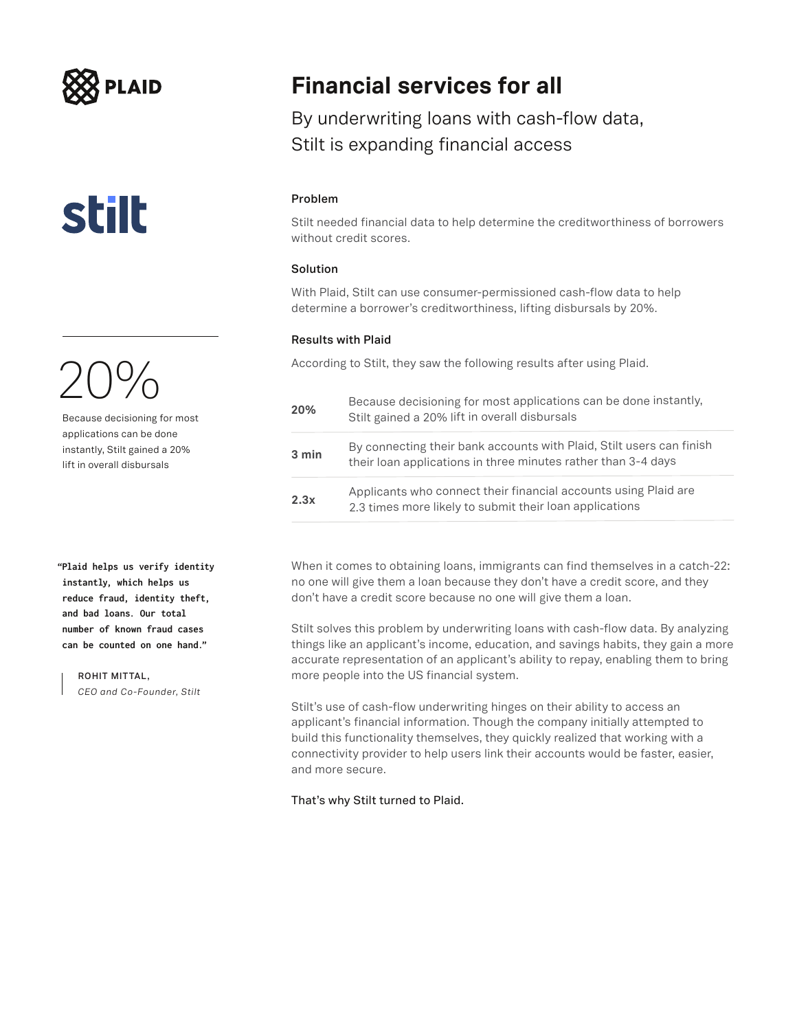## **LAID**

**stilt** 

Because decisioning for most applications can be done instantly, Stilt gained a 20% lift in overall disbursals

**"Plaid helps us verify identity instantly, which helps us reduce fraud, identity theft, and bad loans. Our total number of known fraud cases can be counted on one hand."**

**ROHIT MITTAL,** 

*CEO and Co-Founder, Stilt*

### **Financial services for all**

By underwriting loans with cash-flow data, Stilt is expanding financial access

#### **Problem**

Stilt needed financial data to help determine the creditworthiness of borrowers without credit scores.

### **Solution**

With Plaid, Stilt can use consumer-permissioned cash-flow data to help determine a borrower's creditworthiness, lifting disbursals by 20%.

#### **Results with Plaid**

According to Stilt, they saw the following results after using Plaid.

| 20%   | Because decisioning for most applications can be done instantly,<br>Stilt gained a 20% lift in overall disbursals                     |
|-------|---------------------------------------------------------------------------------------------------------------------------------------|
| 3 min | By connecting their bank accounts with Plaid, Stilt users can finish<br>their loan applications in three minutes rather than 3-4 days |
| 2.3x  | Applicants who connect their financial accounts using Plaid are<br>2.3 times more likely to submit their loan applications            |

When it comes to obtaining loans, immigrants can find themselves in a catch-22: no one will give them a loan because they don't have a credit score, and they don't have a credit score because no one will give them a loan.

Stilt solves this problem by underwriting loans with cash-flow data. By analyzing things like an applicant's income, education, and savings habits, they gain a more accurate representation of an applicant's ability to repay, enabling them to bring more people into the US financial system.

Stilt's use of cash-flow underwriting hinges on their ability to access an applicant's financial information. Though the company initially attempted to build this functionality themselves, they quickly realized that working with a connectivity provider to help users link their accounts would be faster, easier, and more secure.

### That's why Stilt turned to Plaid.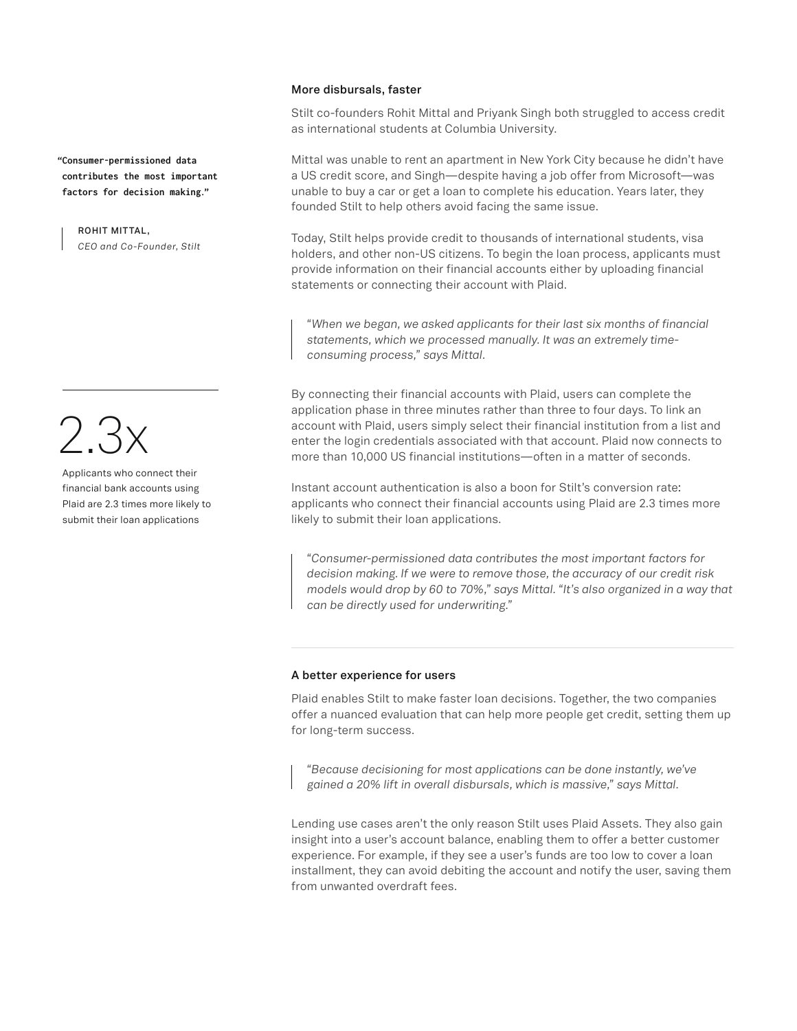**"Consumer-permissioned data contributes the most important factors for decision making."**

**ROHIT MITTAL,**  *CEO and Co-Founder, Stilt*

 $2.3x$ 

Applicants who connect their financial bank accounts using Plaid are 2.3 times more likely to submit their loan applications

#### **More disbursals, faster**

Stilt co-founders Rohit Mittal and Priyank Singh both struggled to access credit as international students at Columbia University.

Mittal was unable to rent an apartment in New York City because he didn't have a US credit score, and Singh—despite having a job offer from Microsoft—was unable to buy a car or get a loan to complete his education. Years later, they founded Stilt to help others avoid facing the same issue.

Today, Stilt helps provide credit to thousands of international students, visa holders, and other non-US citizens. To begin the loan process, applicants must provide information on their financial accounts either by uploading financial statements or connecting their account with Plaid.

*"When we began, we asked applicants for their last six months of financial statements, which we processed manually. It was an extremely timeconsuming process," says Mittal.*

By connecting their financial accounts with Plaid, users can complete the application phase in three minutes rather than three to four days. To link an account with Plaid, users simply select their financial institution from a list and enter the login credentials associated with that account. Plaid now connects to more than 10,000 US financial institutions—often in a matter of seconds.

Instant account authentication is also a boon for Stilt's conversion rate: applicants who connect their financial accounts using Plaid are 2.3 times more likely to submit their loan applications.

*"Consumer-permissioned data contributes the most important factors for decision making. If we were to remove those, the accuracy of our credit risk models would drop by 60 to 70%," says Mittal. "It's also organized in a way that can be directly used for underwriting."*

#### **A better experience for users**

Plaid enables Stilt to make faster loan decisions. Together, the two companies offer a nuanced evaluation that can help more people get credit, setting them up for long-term success.

*"Because decisioning for most applications can be done instantly, we've gained a 20% lift in overall disbursals, which is massive," says Mittal.* 

Lending use cases aren't the only reason Stilt uses Plaid Assets. They also gain insight into a user's account balance, enabling them to offer a better customer experience. For example, if they see a user's funds are too low to cover a loan installment, they can avoid debiting the account and notify the user, saving them from unwanted overdraft fees.